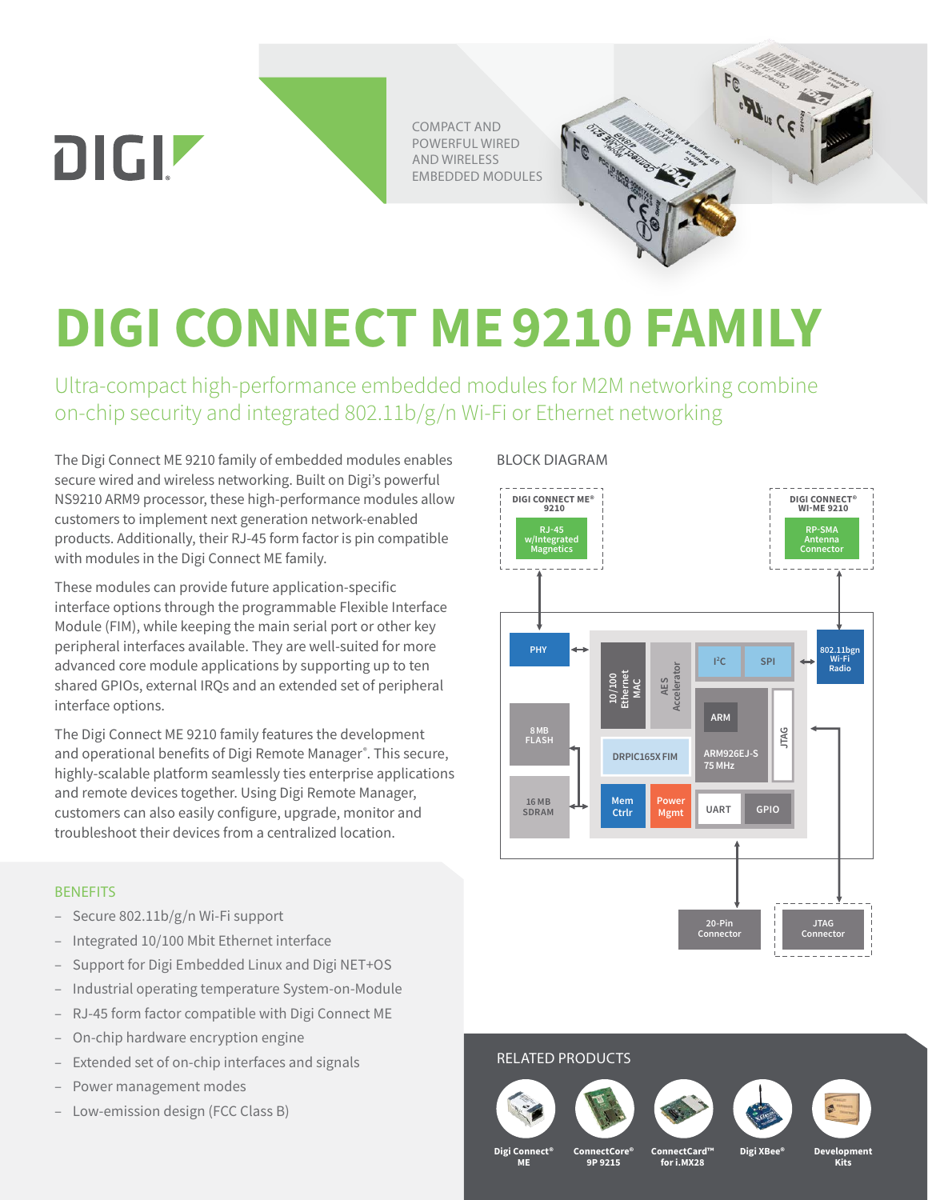COMPACT AND POWERFUL WIRED AND WIRELESS EMBEDDED MODULES

# **DIGI CONNECT ME9210 FAMILY**

Ultra-compact high-performance embedded modules for M2M networking combine on-chip security and integrated 802.11b/g/n Wi-Fi or Ethernet networking

The Digi Connect ME 9210 family of embedded modules enables secure wired and wireless networking. Built on Digi's powerful NS9210 ARM9 processor, these high-performance modules allow customers to implement next generation network-enabled products. Additionally, their RJ-45 form factor is pin compatible with modules in the Digi Connect ME family.

These modules can provide future application-specific interface options through the programmable Flexible Interface Module (FIM), while keeping the main serial port or other key peripheral interfaces available. They are well-suited for more advanced core module applications by supporting up to ten shared GPIOs, external IRQs and an extended set of peripheral interface options.

The Digi Connect ME 9210 family features the development and operational benefits of Digi Remote Manager®. This secure, highly-scalable platform seamlessly ties enterprise applications and remote devices together. Using Digi Remote Manager, customers can also easily configure, upgrade, monitor and troubleshoot their devices from a centralized location.

## **BENEFITS**

DIGIZ

- Secure 802.11b/g/n Wi-Fi support
- Integrated 10/100 Mbit Ethernet interface
- Support for Digi Embedded Linux and Digi NET+OS
- Industrial operating temperature System-on-Module
- RJ-45 form factor compatible with Digi Connect ME
- On-chip hardware encryption engine
- Extended set of on-chip interfaces and signals
- Power management modes
- Low-emission design (FCC Class B)

### BLOCK DIAGRAM



**ALCEPTE** 

# RELATED PRODUCTS









**Digi Connect® ME**

**ConnectCore®** 

**9P 9215**

**ConnectCard™ for i.MX28**

**Digi XBee®**

**Development Kits**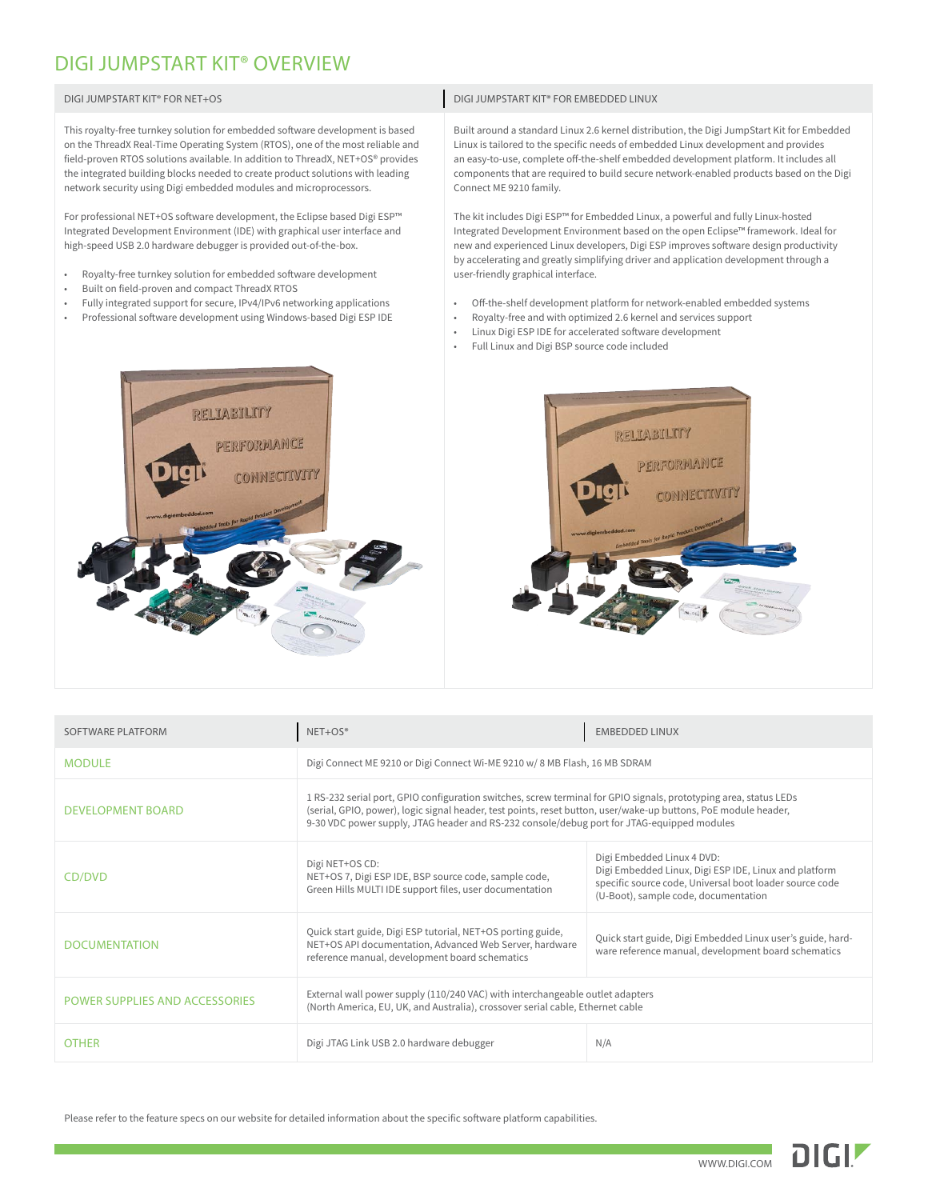# DIGI JUMPSTART KIT® OVERVIEW

| DIGI JUMPSTART KIT® FOR NET+OS                                                                                                                                                                                                                                                                                                                                                                            | DIGI JUMPSTART KIT® FOR EMBEDDED LINUX                                                                                                                                                                                                                                                                                                                                                          |
|-----------------------------------------------------------------------------------------------------------------------------------------------------------------------------------------------------------------------------------------------------------------------------------------------------------------------------------------------------------------------------------------------------------|-------------------------------------------------------------------------------------------------------------------------------------------------------------------------------------------------------------------------------------------------------------------------------------------------------------------------------------------------------------------------------------------------|
| This royalty-free turnkey solution for embedded software development is based<br>on the ThreadX Real-Time Operating System (RTOS), one of the most reliable and<br>field-proven RTOS solutions available. In addition to ThreadX, NET+OS® provides<br>the integrated building blocks needed to create product solutions with leading<br>network security using Digi embedded modules and microprocessors. | Built around a standard Linux 2.6 kernel distribution, the Digi JumpStart Kit for Embedded<br>Linux is tailored to the specific needs of embedded Linux development and provides<br>an easy-to-use, complete off-the-shelf embedded development platform. It includes all<br>components that are required to build secure network-enabled products based on the Digi<br>Connect ME 9210 family. |
| For professional NET+OS software development, the Eclipse based Digi ESP™<br>Integrated Development Environment (IDE) with graphical user interface and<br>high-speed USB 2.0 hardware debugger is provided out-of-the-box.<br>Royalty-free turnkey solution for embedded software development<br>$\bullet$<br>Built on field-proven and compact ThreadX RTOS<br>$\bullet$                                | The kit includes Digi ESP™ for Embedded Linux, a powerful and fully Linux-hosted<br>Integrated Development Environment based on the open Eclipse™ framework. Ideal for<br>new and experienced Linux developers, Digi ESP improves software design productivity<br>by accelerating and greatly simplifying driver and application development through a<br>user-friendly graphical interface.    |
| Fully integrated support for secure, IPv4/IPv6 networking applications<br>۰<br>Professional software development using Windows-based Digi ESP IDE<br>۰                                                                                                                                                                                                                                                    | Off-the-shelf development platform for network-enabled embedded systems<br>Royalty-free and with optimized 2.6 kernel and services support<br>$\bullet$<br>Linux Digi ESP IDE for accelerated software development<br>$\bullet$<br>Full Linux and Digi BSP source code included                                                                                                                 |





| SOFTWARE PLATFORM              | $NET+OS®$                                                                                                                                                                                                                                                                                                                          | <b>EMBEDDED LINUX</b>                                                                                                                                                                  |  |  |
|--------------------------------|------------------------------------------------------------------------------------------------------------------------------------------------------------------------------------------------------------------------------------------------------------------------------------------------------------------------------------|----------------------------------------------------------------------------------------------------------------------------------------------------------------------------------------|--|--|
| <b>MODULE</b>                  | Digi Connect ME 9210 or Digi Connect Wi-ME 9210 w/8 MB Flash, 16 MB SDRAM                                                                                                                                                                                                                                                          |                                                                                                                                                                                        |  |  |
| <b>DEVELOPMENT BOARD</b>       | 1 RS-232 serial port, GPIO configuration switches, screw terminal for GPIO signals, prototyping area, status LEDs<br>(serial, GPIO, power), logic signal header, test points, reset button, user/wake-up buttons, PoE module header,<br>9-30 VDC power supply, JTAG header and RS-232 console/debug port for JTAG-equipped modules |                                                                                                                                                                                        |  |  |
| CD/DVD                         | Digi NET+OS CD:<br>NET+OS 7, Digi ESP IDE, BSP source code, sample code,<br>Green Hills MULTI IDE support files, user documentation                                                                                                                                                                                                | Digi Embedded Linux 4 DVD:<br>Digi Embedded Linux, Digi ESP IDE, Linux and platform<br>specific source code, Universal boot loader source code<br>(U-Boot), sample code, documentation |  |  |
| <b>DOCUMENTATION</b>           | Quick start guide, Digi ESP tutorial, NET+OS porting guide,<br>NET+OS API documentation, Advanced Web Server, hardware<br>reference manual, development board schematics                                                                                                                                                           | Quick start guide, Digi Embedded Linux user's guide, hard-<br>ware reference manual, development board schematics                                                                      |  |  |
| POWER SUPPLIES AND ACCESSORIES | External wall power supply (110/240 VAC) with interchangeable outlet adapters<br>(North America, EU, UK, and Australia), crossover serial cable, Ethernet cable                                                                                                                                                                    |                                                                                                                                                                                        |  |  |
| <b>OTHER</b>                   | Digi JTAG Link USB 2.0 hardware debugger                                                                                                                                                                                                                                                                                           | N/A                                                                                                                                                                                    |  |  |

Please refer to the feature specs on our website for detailed information about the specific software platform capabilities.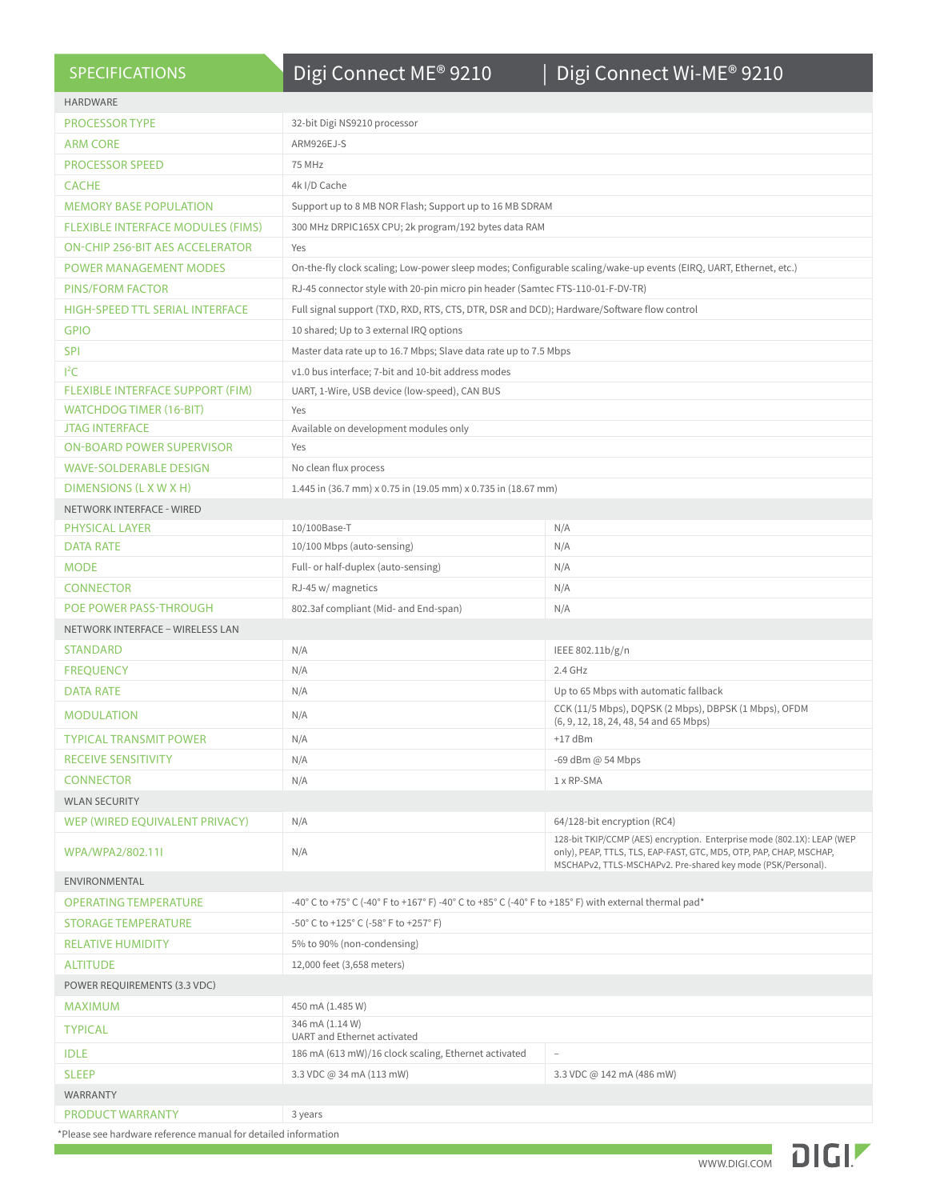| <b>SPECIFICATIONS</b>                  | Digi Connect ME® 9210                                                                                             | Digi Connect Wi-ME® 9210                                                                                                                                                                                       |  |  |  |
|----------------------------------------|-------------------------------------------------------------------------------------------------------------------|----------------------------------------------------------------------------------------------------------------------------------------------------------------------------------------------------------------|--|--|--|
| <b>HARDWARE</b>                        |                                                                                                                   |                                                                                                                                                                                                                |  |  |  |
| <b>PROCESSOR TYPE</b>                  | 32-bit Digi NS9210 processor                                                                                      |                                                                                                                                                                                                                |  |  |  |
| <b>ARM CORE</b>                        | ARM926EJ-S                                                                                                        |                                                                                                                                                                                                                |  |  |  |
| <b>PROCESSOR SPEED</b>                 | 75 MHz                                                                                                            |                                                                                                                                                                                                                |  |  |  |
| <b>CACHE</b>                           | 4k I/D Cache                                                                                                      |                                                                                                                                                                                                                |  |  |  |
| <b>MEMORY BASE POPULATION</b>          | Support up to 8 MB NOR Flash; Support up to 16 MB SDRAM                                                           |                                                                                                                                                                                                                |  |  |  |
| FLEXIBLE INTERFACE MODULES (FIMS)      | 300 MHz DRPIC165X CPU; 2k program/192 bytes data RAM                                                              |                                                                                                                                                                                                                |  |  |  |
| <b>ON-CHIP 256-BIT AES ACCELERATOR</b> | Yes                                                                                                               |                                                                                                                                                                                                                |  |  |  |
| <b>POWER MANAGEMENT MODES</b>          | On-the-fly clock scaling; Low-power sleep modes; Configurable scaling/wake-up events (EIRQ, UART, Ethernet, etc.) |                                                                                                                                                                                                                |  |  |  |
| <b>PINS/FORM FACTOR</b>                | RJ-45 connector style with 20-pin micro pin header (Samtec FTS-110-01-F-DV-TR)                                    |                                                                                                                                                                                                                |  |  |  |
| <b>HIGH-SPEED TTL SERIAL INTERFACE</b> | Full signal support (TXD, RXD, RTS, CTS, DTR, DSR and DCD); Hardware/Software flow control                        |                                                                                                                                                                                                                |  |  |  |
| <b>GPIO</b>                            | 10 shared; Up to 3 external IRQ options                                                                           |                                                                                                                                                                                                                |  |  |  |
| <b>SPI</b>                             | Master data rate up to 16.7 Mbps; Slave data rate up to 7.5 Mbps                                                  |                                                                                                                                                                                                                |  |  |  |
| ${}^{12}C$                             | v1.0 bus interface; 7-bit and 10-bit address modes                                                                |                                                                                                                                                                                                                |  |  |  |
| FLEXIBLE INTERFACE SUPPORT (FIM)       | UART, 1-Wire, USB device (low-speed), CAN BUS                                                                     |                                                                                                                                                                                                                |  |  |  |
| <b>WATCHDOG TIMER (16-BIT)</b>         | Yes                                                                                                               |                                                                                                                                                                                                                |  |  |  |
| <b>JTAG INTERFACE</b>                  | Available on development modules only                                                                             |                                                                                                                                                                                                                |  |  |  |
| <b>ON-BOARD POWER SUPERVISOR</b>       | Yes                                                                                                               |                                                                                                                                                                                                                |  |  |  |
| <b>WAVE-SOLDERABLE DESIGN</b>          | No clean flux process                                                                                             |                                                                                                                                                                                                                |  |  |  |
| DIMENSIONS (L X W X H)                 | 1.445 in (36.7 mm) x 0.75 in (19.05 mm) x 0.735 in (18.67 mm)                                                     |                                                                                                                                                                                                                |  |  |  |
| <b>NETWORK INTERFACE - WIRED</b>       |                                                                                                                   |                                                                                                                                                                                                                |  |  |  |
| <b>PHYSICAL LAYER</b>                  | 10/100Base-T                                                                                                      | N/A                                                                                                                                                                                                            |  |  |  |
| <b>DATA RATE</b>                       | 10/100 Mbps (auto-sensing)                                                                                        | N/A                                                                                                                                                                                                            |  |  |  |
| <b>MODE</b>                            | Full- or half-duplex (auto-sensing)                                                                               | N/A                                                                                                                                                                                                            |  |  |  |
| <b>CONNECTOR</b>                       | RJ-45 w/ magnetics                                                                                                | N/A                                                                                                                                                                                                            |  |  |  |
| POE POWER PASS-THROUGH                 | 802.3af compliant (Mid- and End-span)                                                                             | N/A                                                                                                                                                                                                            |  |  |  |
| NETWORK INTERFACE - WIRELESS LAN       |                                                                                                                   |                                                                                                                                                                                                                |  |  |  |
| <b>STANDARD</b>                        | N/A                                                                                                               | IEEE 802.11b/g/n                                                                                                                                                                                               |  |  |  |
| <b>FREOUENCY</b>                       | N/A                                                                                                               | 2.4 GHz                                                                                                                                                                                                        |  |  |  |
| <b>DATA RATE</b>                       | N/A                                                                                                               | Up to 65 Mbps with automatic fallback<br>CCK (11/5 Mbps), DQPSK (2 Mbps), DBPSK (1 Mbps), OFDM                                                                                                                 |  |  |  |
| <b>MODULATION</b>                      | N/A                                                                                                               | (6, 9, 12, 18, 24, 48, 54 and 65 Mbps)                                                                                                                                                                         |  |  |  |
| <b>TYPICAL TRANSMIT POWER</b>          | N/A                                                                                                               | +17 dBm                                                                                                                                                                                                        |  |  |  |
| <b>RECEIVE SENSITIVITY</b>             | N/A                                                                                                               | -69 dBm @ 54 Mbps                                                                                                                                                                                              |  |  |  |
| <b>CONNECTOR</b>                       | N/A                                                                                                               | 1 x RP-SMA                                                                                                                                                                                                     |  |  |  |
| <b>WLAN SECURITY</b>                   |                                                                                                                   |                                                                                                                                                                                                                |  |  |  |
| WEP (WIRED EQUIVALENT PRIVACY)         | N/A                                                                                                               | 64/128-bit encryption (RC4)                                                                                                                                                                                    |  |  |  |
| WPA/WPA2/802.11I                       | N/A                                                                                                               | 128-bit TKIP/CCMP (AES) encryption. Enterprise mode (802.1X): LEAP (WEP<br>only), PEAP, TTLS, TLS, EAP-FAST, GTC, MD5, OTP, PAP, CHAP, MSCHAP,<br>MSCHAPv2, TTLS-MSCHAPv2. Pre-shared key mode (PSK/Personal). |  |  |  |
| ENVIRONMENTAL                          |                                                                                                                   |                                                                                                                                                                                                                |  |  |  |
| <b>OPERATING TEMPERATURE</b>           | -40° C to +75° C (-40° F to +167° F) -40° C to +85° C (-40° F to +185° F) with external thermal pad*              |                                                                                                                                                                                                                |  |  |  |
| STORAGE TEMPERATURE                    | -50° C to +125° C (-58° F to +257° F)                                                                             |                                                                                                                                                                                                                |  |  |  |
| <b>RELATIVE HUMIDITY</b>               | 5% to 90% (non-condensing)                                                                                        |                                                                                                                                                                                                                |  |  |  |
| <b>ALTITUDE</b>                        | 12,000 feet (3,658 meters)                                                                                        |                                                                                                                                                                                                                |  |  |  |
| POWER REQUIREMENTS (3.3 VDC)           |                                                                                                                   |                                                                                                                                                                                                                |  |  |  |
| MAXIMUM                                | 450 mA (1.485 W)                                                                                                  |                                                                                                                                                                                                                |  |  |  |
| <b>TYPICAL</b>                         | 346 mA (1.14 W)                                                                                                   |                                                                                                                                                                                                                |  |  |  |
| <b>IDLE</b>                            | UART and Ethernet activated<br>186 mA (613 mW)/16 clock scaling, Ethernet activated                               | $\overline{\phantom{a}}$                                                                                                                                                                                       |  |  |  |
| <b>SLEEP</b>                           | 3.3 VDC @ 34 mA (113 mW)                                                                                          | 3.3 VDC @ 142 mA (486 mW)                                                                                                                                                                                      |  |  |  |
| WARRANTY                               |                                                                                                                   |                                                                                                                                                                                                                |  |  |  |
| <b>PRODUCT WARRANTY</b>                | 3 years                                                                                                           |                                                                                                                                                                                                                |  |  |  |
|                                        |                                                                                                                   |                                                                                                                                                                                                                |  |  |  |

Please see hardware reference manual for detailed information

**College**